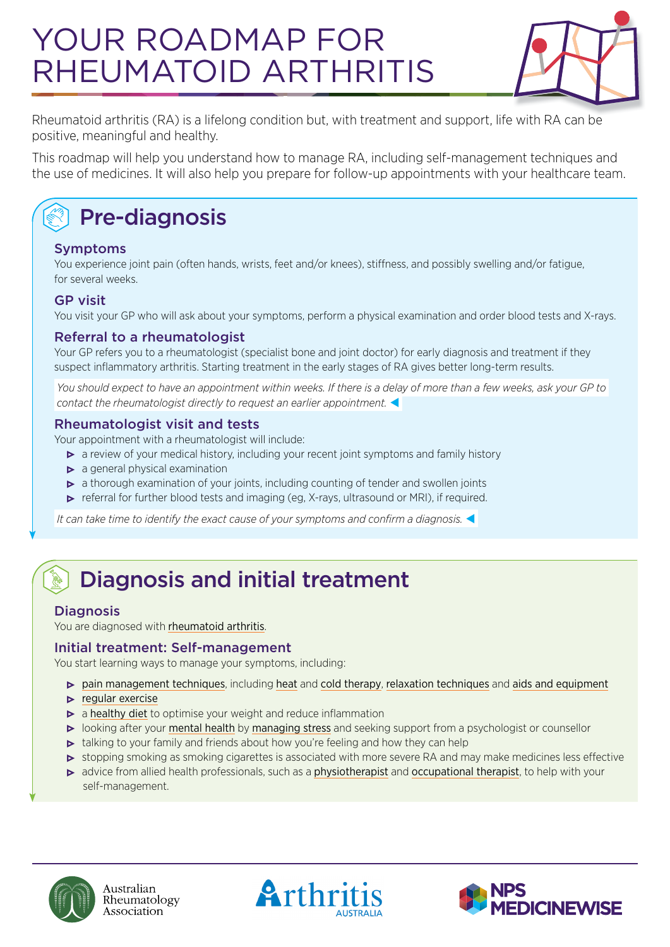# YOUR ROADMAP FOR RHEUMATOID ARTHRITIS



Rheumatoid arthritis (RA) is a lifelong condition but, with treatment and support, life with RA can be positive, meaningful and healthy.

This roadmap will help you understand how to manage RA, including self-management techniques and the use of medicines. It will also help you prepare for follow-up appointments with your healthcare team.

# Pre-diagnosis

#### Symptoms

You experience joint pain (often hands, wrists, feet and/or knees), stiffness, and possibly swelling and/or fatigue, for several weeks.

#### GP visit

You visit your GP who will ask about your symptoms, perform a physical examination and order blood tests and X-rays.

#### Referral to a rheumatologist

Your GP refers you to a rheumatologist (specialist bone and joint doctor) for early diagnosis and treatment if they suspect inflammatory arthritis. Starting treatment in the early stages of RA gives better long-term results.

 *You should expect to have an appointment within weeks. If there is a delay of more than a few weeks, ask your GP to contact the rheumatologist directly to request an earlier appointment.* 

#### Rheumatologist visit and tests

Your appointment with a rheumatologist will include:

- a review of your medical history, including your recent joint symptoms and family history
- $\triangleright$  a general physical examination
- a thorough examination of your joints, including counting of tender and swollen joints
- **•** referral for further blood tests and imaging (eg, X-rays, ultrasound or MRI), if required.

 *It can take time to identify the exact cause of your symptoms and confirm a diagnosis.* 

## Diagnosis and initial treatment

#### **Diagnosis**

You are diagnosed with [rheumatoid arthritis](https://arthritisaustralia.com.au/types-of-arthritis/rheumatoid-arthritis/).

#### Initial treatment: Self-management

You start learning ways to manage your symptoms, including:

- [pain management techniques](https://myra.org.au/article/dealing-pain-managing-pain/dealing-pain), including [heat](https://myra.org.au/article/managing-pain-heat-or-cold/warming-techniques-relieve-rheumatoid-arthritis-pain) and [cold therapy](https://myra.org.au/article/managing-pain-heat-or-cold/using-heat-and-cold-pain-relief), [relaxation techniques](https://myra.org.au/article/managing-pain-relaxation/progressive-muscle-relaxation) and [aids and equipment](https://myra.org.au/library?category=65)
- $\blacktriangleright$  [regular exercise](https://myra.org.au/article/things-you-can-do-exercise/exercise-and-ra)
- $\triangleright$  a [healthy diet](https://myra.org.au/library?category=66) to optimise your weight and reduce inflammation
- looking after your [mental health](https://myra.org.au/article/your-feelings-emotions/emotions) by [managing stress](https://myra.org.au/article/your-feelings-stress/best-stress-relievers-ra) and seeking support from a psychologist or counsellor
- $\triangleright$  talking to your family and friends about how you're feeling and how they can help
- **•** stopping smoking as smoking cigarettes is associated with more severe RA and may make medicines less effective
- advice from allied health professionals, such as a [physiotherapist](https://myra.org.au/article/tests-treatments-physiotherapy/what-physiotherapy) and [occupational therapist](https://myra.org.au/article/your-healthcare-team-allied-health-professionals-occupational-therapist/occupational), to help with your self-management.



Australian Rheumatology Association



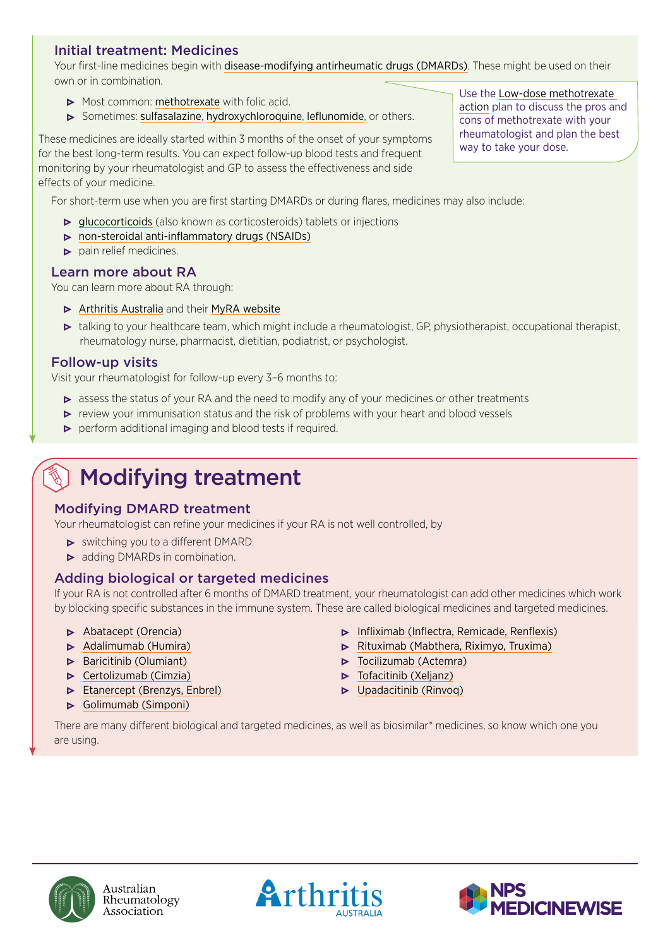#### Initial treatment: Medicines

Your first-line medicines begin with [disease-modifying antirheumatic drugs \(DMARDs\)](https://myra.org.au/article/tests-treatments-medicines-dmards-medicines/disease-modifying-anti-rheumatic-drugs-dmards). These might be used on their own or in combination.

- Most common: [methotrexate](https://rheumatology.org.au/patients/documents/Methotrexate_2019v2.pdf) with folic acid.
- Sometimes: [sulfasalazine](https://rheumatology.org.au/patients/documents/Sulfasalazine_2019.pdf), [hydroxychloroquine](https://rheumatology.org.au/patients/documents/Hydroxychloroquine_2019v2.pdf), [leflunomide](https://rheumatology.org.au/patients/documents/Leflunomide_Nov2019.pdf), or others.

These medicines are ideally started within 3 months of the onset of your symptoms are incumulation of the onset of your symptoms wav to take your dose. for the best long-term results. You can expect follow-up blood tests and frequent monitoring by your rheumatologist and GP to assess the effectiveness and side effects of your medicine.

For short-term use when you are first starting DMARDs or during flares, medicines may also include:

- **•** [glucocorticoids](https://rheumatology.org.au/patients/documents/Prednisolone_2019.pdf) (also known as corticosteroids) tablets or injections
- [non-steroidal anti-inflammatory drugs \(NSAIDs\)](https://rheumatology.org.au/patients/documents/NSAIDS_2019v2.pdf)
- $\triangleright$  pain relief medicines.

#### Learn more about RA

You can learn more about RA through:

- $\triangleright$  [Arthritis Australia](https://arthritisaustralia.com.au/) and their [MyRA website](https://myra.org.au/)
- talking to your healthcare team, which might include a rheumatologist, GP, physiotherapist, occupational therapist, rheumatology nurse, pharmacist, dietitian, podiatrist, or psychologist.

#### Follow-up visits

Visit your rheumatologist for follow-up every 3–6 months to:

- **•** assess the status of your RA and the need to modify any of your medicines or other treatments
- review your immunisation status and the risk of problems with your heart and blood vessels
- $\triangleright$  perform additional imaging and blood tests if required.

### Modifying treatment

#### Modifying DMARD treatment

Your rheumatologist can refine your medicines if your RA is not well controlled, by

- switching you to a different DMARD
- adding DMARDs in combination.

#### Adding biological or targeted medicines

If your RA is not controlled after 6 months of DMARD treatment, your rheumatologist can add other medicines which work by blocking specific substances in the immune system. These are called biological medicines and targeted medicines.

- **•** [Abatacept \(Orencia\)](https://rheumatology.org.au/patients/documents/Abatacept_2019.pdf)
- [Adalimumab \(Humira\)](https://rheumatology.org.au/patients/documents/Adalimumab_Apr2019.pdf)
- $\triangleright$  [Baricitinib](https://rheumatology.org.au/patients/documents/baricitinib_Apr19.pdf) (Olumiant)
- **•** [Certolizumab \(Cimzia\)](https://rheumatology.org.au/patients/documents/Certolizumab_2019.pdf)
- **[Etanercept \(Brenzys, Enbrel\)](https://rheumatology.org.au/patients/documents/Etanercept_2019.pdf)**
- [Golimumab \(Simponi\)](https://rheumatology.org.au/patients/documents/Golimumab_2019.pdf)
- [Infliximab](https://rheumatology.org.au/patients/documents/Infliximab_2019.pdf) (Inflectra, Remicade, Renflexis)
- [Rituximab \(Mabthera, Riximyo, Truxima\)](https://rheumatology.org.au/patients/documents/Rituximab_2019_Apr.pdf)
- **•** [Tocilizumab](https://rheumatology.org.au/patients/documents/Tocilizumab_2019-apr.pdf) (Actemra)
- $\triangleright$  [Tofacitinib](https://rheumatology.org.au/patients/documents/Tofacitinib_2019_Apr_000.pdf) (Xeljanz)
- [Upadacitinib \(Rinvoq\)](https://rheumatology.org.au/patients/documents/Upadacitinib2020.pdf)

There are many different biological and targeted medicines, as well as biosimilar\* medicines, so know which one you are using.



Australian Rheumatology Association





Use the [Low-dose methotrexate](http://www.nps.org.au/bdmards/rheumatological-conditions)  [action](http://www.nps.org.au/bdmards/rheumatological-conditions) plan to discuss the pros and cons of methotrexate with your rheumatologist and plan the best